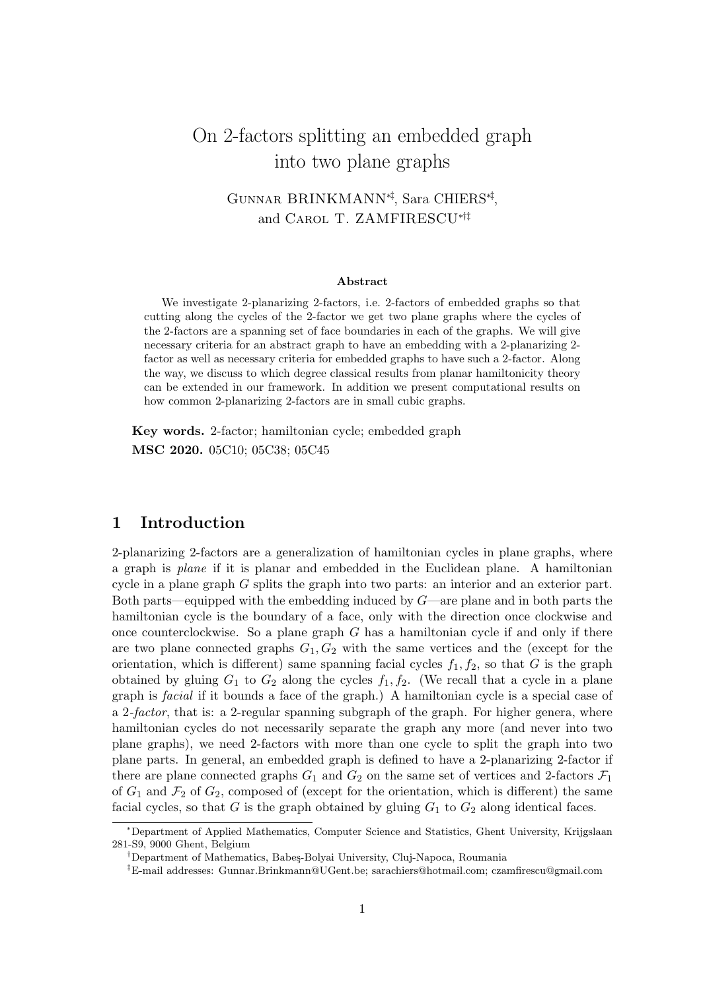# On 2-factors splitting an embedded graph into two plane graphs

## Gunnar BRINKMANN∗‡, Sara CHIERS∗‡ , and Carol T. ZAMFIRESCU∗†‡

#### Abstract

We investigate 2-planarizing 2-factors, i.e. 2-factors of embedded graphs so that cutting along the cycles of the 2-factor we get two plane graphs where the cycles of the 2-factors are a spanning set of face boundaries in each of the graphs. We will give necessary criteria for an abstract graph to have an embedding with a 2-planarizing 2 factor as well as necessary criteria for embedded graphs to have such a 2-factor. Along the way, we discuss to which degree classical results from planar hamiltonicity theory can be extended in our framework. In addition we present computational results on how common 2-planarizing 2-factors are in small cubic graphs.

Key words. 2-factor; hamiltonian cycle; embedded graph MSC 2020. 05C10; 05C38; 05C45

## 1 Introduction

2-planarizing 2-factors are a generalization of hamiltonian cycles in plane graphs, where a graph is plane if it is planar and embedded in the Euclidean plane. A hamiltonian cycle in a plane graph G splits the graph into two parts: an interior and an exterior part. Both parts—equipped with the embedding induced by  $G$ —are plane and in both parts the hamiltonian cycle is the boundary of a face, only with the direction once clockwise and once counterclockwise. So a plane graph  $G$  has a hamiltonian cycle if and only if there are two plane connected graphs  $G_1, G_2$  with the same vertices and the (except for the orientation, which is different) same spanning facial cycles  $f_1, f_2$ , so that G is the graph obtained by gluing  $G_1$  to  $G_2$  along the cycles  $f_1, f_2$ . (We recall that a cycle in a plane graph is facial if it bounds a face of the graph.) A hamiltonian cycle is a special case of a 2-factor, that is: a 2-regular spanning subgraph of the graph. For higher genera, where hamiltonian cycles do not necessarily separate the graph any more (and never into two plane graphs), we need 2-factors with more than one cycle to split the graph into two plane parts. In general, an embedded graph is defined to have a 2-planarizing 2-factor if there are plane connected graphs  $G_1$  and  $G_2$  on the same set of vertices and 2-factors  $\mathcal{F}_1$ of  $G_1$  and  $\mathcal{F}_2$  of  $G_2$ , composed of (except for the orientation, which is different) the same facial cycles, so that G is the graph obtained by gluing  $G_1$  to  $G_2$  along identical faces.

<sup>∗</sup>Department of Applied Mathematics, Computer Science and Statistics, Ghent University, Krijgslaan 281-S9, 9000 Ghent, Belgium

<sup>&</sup>lt;sup>†</sup>Department of Mathematics, Babes-Bolyai University, Cluj-Napoca, Roumania

<sup>‡</sup>E-mail addresses: Gunnar.Brinkmann@UGent.be; sarachiers@hotmail.com; czamfirescu@gmail.com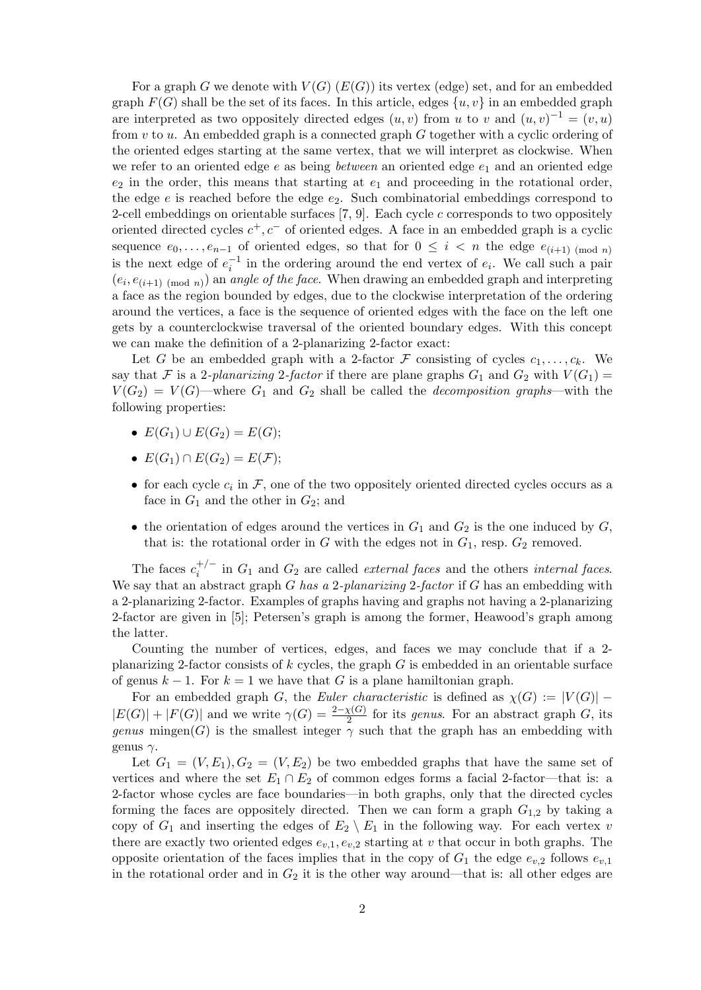For a graph G we denote with  $V(G)$  ( $E(G)$ ) its vertex (edge) set, and for an embedded graph  $F(G)$  shall be the set of its faces. In this article, edges  $\{u, v\}$  in an embedded graph are interpreted as two oppositely directed edges  $(u, v)$  from u to v and  $(u, v)^{-1} = (v, u)$ from  $v$  to  $u$ . An embedded graph is a connected graph  $G$  together with a cyclic ordering of the oriented edges starting at the same vertex, that we will interpret as clockwise. When we refer to an oriented edge  $e$  as being *between* an oriented edge  $e_1$  and an oriented edge  $e_2$  in the order, this means that starting at  $e_1$  and proceeding in the rotational order, the edge  $e$  is reached before the edge  $e_2$ . Such combinatorial embeddings correspond to 2-cell embeddings on orientable surfaces [7, 9]. Each cycle c corresponds to two oppositely oriented directed cycles  $c^+, c^-$  of oriented edges. A face in an embedded graph is a cyclic sequence  $e_0, \ldots, e_{n-1}$  of oriented edges, so that for  $0 \leq i \leq n$  the edge  $e_{(i+1) \pmod{n}}$ is the next edge of  $e_i^{-1}$  in the ordering around the end vertex of  $e_i$ . We call such a pair  $(e_i, e_{(i+1) \pmod{n}})$  an *angle of the face*. When drawing an embedded graph and interpreting a face as the region bounded by edges, due to the clockwise interpretation of the ordering around the vertices, a face is the sequence of oriented edges with the face on the left one gets by a counterclockwise traversal of the oriented boundary edges. With this concept we can make the definition of a 2-planarizing 2-factor exact:

Let G be an embedded graph with a 2-factor F consisting of cycles  $c_1, \ldots, c_k$ . We say that F is a 2-planarizing 2-factor if there are plane graphs  $G_1$  and  $G_2$  with  $V(G_1)$  =  $V(G_2) = V(G)$ —where  $G_1$  and  $G_2$  shall be called the *decomposition graphs*—with the following properties:

- $E(G_1) \cup E(G_2) = E(G);$
- $E(G_1) \cap E(G_2) = E(F)$ :
- for each cycle  $c_i$  in  $\mathcal{F}$ , one of the two oppositely oriented directed cycles occurs as a face in  $G_1$  and the other in  $G_2$ ; and
- the orientation of edges around the vertices in  $G_1$  and  $G_2$  is the one induced by  $G$ , that is: the rotational order in  $G$  with the edges not in  $G_1$ , resp.  $G_2$  removed.

The faces  $c_i^{+/-}$  $i_i^{+/-}$  in  $G_1$  and  $G_2$  are called *external faces* and the others *internal faces*. We say that an abstract graph  $G$  has a 2-planarizing 2-factor if  $G$  has an embedding with a 2-planarizing 2-factor. Examples of graphs having and graphs not having a 2-planarizing 2-factor are given in [5]; Petersen's graph is among the former, Heawood's graph among the latter.

Counting the number of vertices, edges, and faces we may conclude that if a 2 planarizing 2-factor consists of  $k$  cycles, the graph  $G$  is embedded in an orientable surface of genus  $k - 1$ . For  $k = 1$  we have that G is a plane hamiltonian graph.

For an embedded graph G, the Euler characteristic is defined as  $\chi(G) := |V(G)|$  –  $|E(G)| + |F(G)|$  and we write  $\gamma(G) = \frac{2-\chi(G)}{2}$  for its genus. For an abstract graph G, its genus mingen(G) is the smallest integer  $\gamma$  such that the graph has an embedding with genus  $\gamma$ .

Let  $G_1 = (V, E_1), G_2 = (V, E_2)$  be two embedded graphs that have the same set of vertices and where the set  $E_1 \cap E_2$  of common edges forms a facial 2-factor—that is: a 2-factor whose cycles are face boundaries—in both graphs, only that the directed cycles forming the faces are oppositely directed. Then we can form a graph  $G_{1,2}$  by taking a copy of  $G_1$  and inserting the edges of  $E_2 \setminus E_1$  in the following way. For each vertex v there are exactly two oriented edges  $e_{v,1}, e_{v,2}$  starting at v that occur in both graphs. The opposite orientation of the faces implies that in the copy of  $G_1$  the edge  $e_{v,2}$  follows  $e_{v,1}$ in the rotational order and in  $G_2$  it is the other way around—that is: all other edges are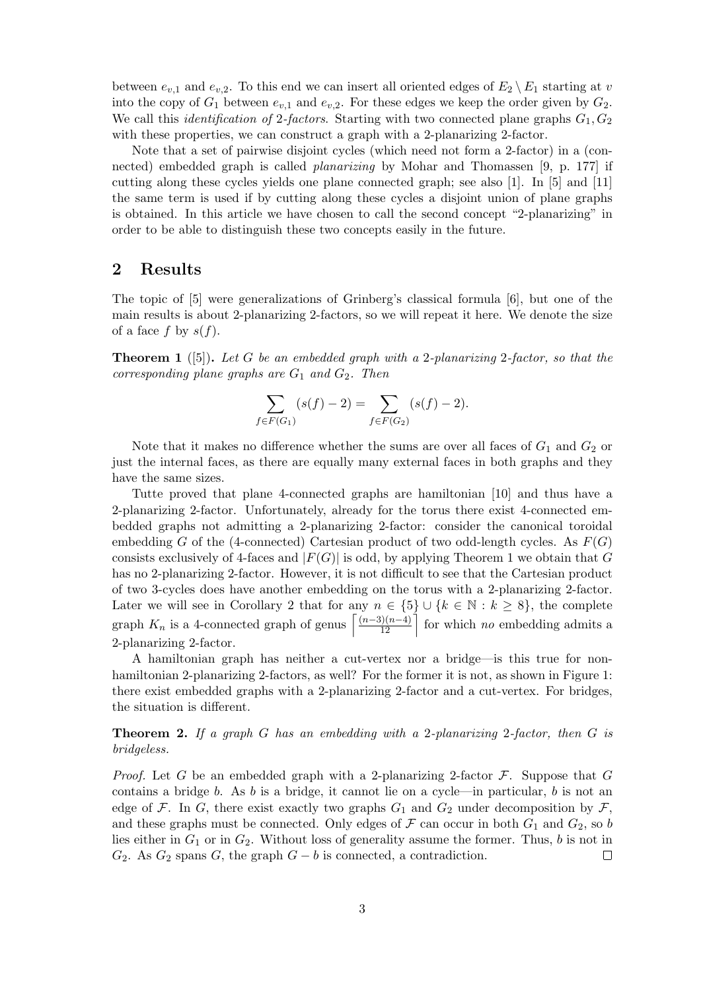between  $e_{v,1}$  and  $e_{v,2}$ . To this end we can insert all oriented edges of  $E_2 \setminus E_1$  starting at v into the copy of  $G_1$  between  $e_{v,1}$  and  $e_{v,2}$ . For these edges we keep the order given by  $G_2$ . We call this *identification of 2-factors*. Starting with two connected plane graphs  $G_1, G_2$ with these properties, we can construct a graph with a 2-planarizing 2-factor.

Note that a set of pairwise disjoint cycles (which need not form a 2-factor) in a (connected) embedded graph is called planarizing by Mohar and Thomassen [9, p. 177] if cutting along these cycles yields one plane connected graph; see also [1]. In [5] and [11] the same term is used if by cutting along these cycles a disjoint union of plane graphs is obtained. In this article we have chosen to call the second concept "2-planarizing" in order to be able to distinguish these two concepts easily in the future.

## 2 Results

The topic of [5] were generalizations of Grinberg's classical formula [6], but one of the main results is about 2-planarizing 2-factors, so we will repeat it here. We denote the size of a face f by  $s(f)$ .

**Theorem 1** ([5]). Let G be an embedded graph with a 2-planarizing 2-factor, so that the corresponding plane graphs are  $G_1$  and  $G_2$ . Then

$$
\sum_{f \in F(G_1)} (s(f) - 2) = \sum_{f \in F(G_2)} (s(f) - 2).
$$

Note that it makes no difference whether the sums are over all faces of  $G_1$  and  $G_2$  or just the internal faces, as there are equally many external faces in both graphs and they have the same sizes.

Tutte proved that plane 4-connected graphs are hamiltonian [10] and thus have a 2-planarizing 2-factor. Unfortunately, already for the torus there exist 4-connected embedded graphs not admitting a 2-planarizing 2-factor: consider the canonical toroidal embedding G of the (4-connected) Cartesian product of two odd-length cycles. As  $F(G)$ consists exclusively of 4-faces and  $|F(G)|$  is odd, by applying Theorem 1 we obtain that G has no 2-planarizing 2-factor. However, it is not difficult to see that the Cartesian product of two 3-cycles does have another embedding on the torus with a 2-planarizing 2-factor. Later we will see in Corollary 2 that for any  $n \in \{5\} \cup \{k \in \mathbb{N} : k \geq 8\}$ , the complete graph  $K_n$  is a 4-connected graph of genus  $\left\lceil \frac{(n-3)(n-4)}{12} \right\rceil$  for which no embedding admits a 2-planarizing 2-factor.

A hamiltonian graph has neither a cut-vertex nor a bridge—is this true for nonhamiltonian 2-planarizing 2-factors, as well? For the former it is not, as shown in Figure 1: there exist embedded graphs with a 2-planarizing 2-factor and a cut-vertex. For bridges, the situation is different.

**Theorem 2.** If a graph G has an embedding with a 2-planarizing 2-factor, then G is bridgeless.

*Proof.* Let G be an embedded graph with a 2-planarizing 2-factor  $\mathcal{F}$ . Suppose that G contains a bridge  $b$ . As  $b$  is a bridge, it cannot lie on a cycle—in particular,  $b$  is not an edge of F. In G, there exist exactly two graphs  $G_1$  and  $G_2$  under decomposition by F, and these graphs must be connected. Only edges of  $\mathcal F$  can occur in both  $G_1$  and  $G_2$ , so b lies either in  $G_1$  or in  $G_2$ . Without loss of generality assume the former. Thus, b is not in  $G_2$ . As  $G_2$  spans G, the graph  $G - b$  is connected, a contradiction.  $\Box$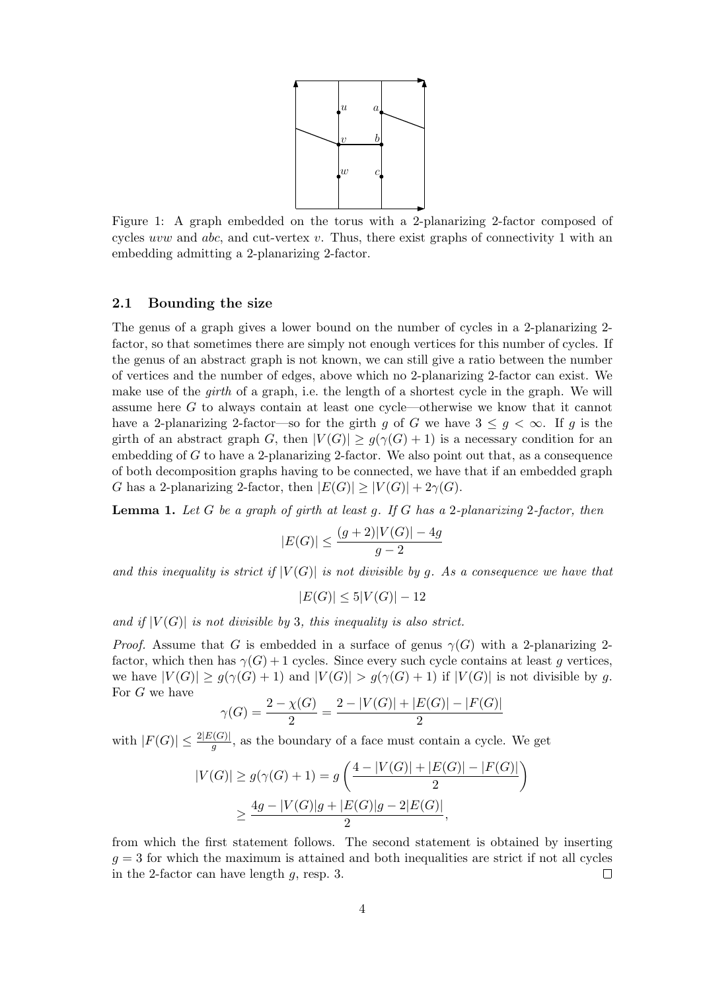

Figure 1: A graph embedded on the torus with a 2-planarizing 2-factor composed of cycles uvw and  $abc$ , and cut-vertex  $v$ . Thus, there exist graphs of connectivity 1 with an embedding admitting a 2-planarizing 2-factor.

#### 2.1 Bounding the size

The genus of a graph gives a lower bound on the number of cycles in a 2-planarizing 2 factor, so that sometimes there are simply not enough vertices for this number of cycles. If the genus of an abstract graph is not known, we can still give a ratio between the number of vertices and the number of edges, above which no 2-planarizing 2-factor can exist. We make use of the *girth* of a graph, i.e. the length of a shortest cycle in the graph. We will assume here G to always contain at least one cycle—otherwise we know that it cannot have a 2-planarizing 2-factor—so for the girth g of G we have  $3 \leq g < \infty$ . If g is the girth of an abstract graph G, then  $|V(G)| \ge g(\gamma(G) + 1)$  is a necessary condition for an embedding of  $G$  to have a 2-planarizing 2-factor. We also point out that, as a consequence of both decomposition graphs having to be connected, we have that if an embedded graph G has a 2-planarizing 2-factor, then  $|E(G)| > |V(G)| + 2\gamma(G)$ .

**Lemma 1.** Let G be a graph of girth at least q. If G has a 2-planarizing 2-factor, then

$$
|E(G)| \le \frac{(g+2)|V(G)| - 4g}{g-2}
$$

and this inequality is strict if  $|V(G)|$  is not divisible by g. As a consequence we have that

$$
E(G)| \le 5|V(G)| - 12
$$

and if  $|V(G)|$  is not divisible by 3, this inequality is also strict.

*Proof.* Assume that G is embedded in a surface of genus  $\gamma(G)$  with a 2-planarizing 2factor, which then has  $\gamma(G) + 1$  cycles. Since every such cycle contains at least g vertices, we have  $|V(G)| \ge g(\gamma(G)+1)$  and  $|V(G)| > g(\gamma(G)+1)$  if  $|V(G)|$  is not divisible by g. For G we have

$$
\gamma(G) = \frac{2 - \chi(G)}{2} = \frac{2 - |V(G)| + |E(G)| - |F(G)|}{2}
$$

with  $|F(G)| \leq \frac{2|E(G)|}{g}$ , as the boundary of a face must contain a cycle. We get

$$
|V(G)| \ge g(\gamma(G) + 1) = g\left(\frac{4 - |V(G)| + |E(G)| - |F(G)|}{2}\right)
$$
  

$$
\ge \frac{4g - |V(G)|g + |E(G)|g - 2|E(G)|}{2},
$$

from which the first statement follows. The second statement is obtained by inserting  $g = 3$  for which the maximum is attained and both inequalities are strict if not all cycles in the 2-factor can have length  $q$ , resp. 3.  $\Box$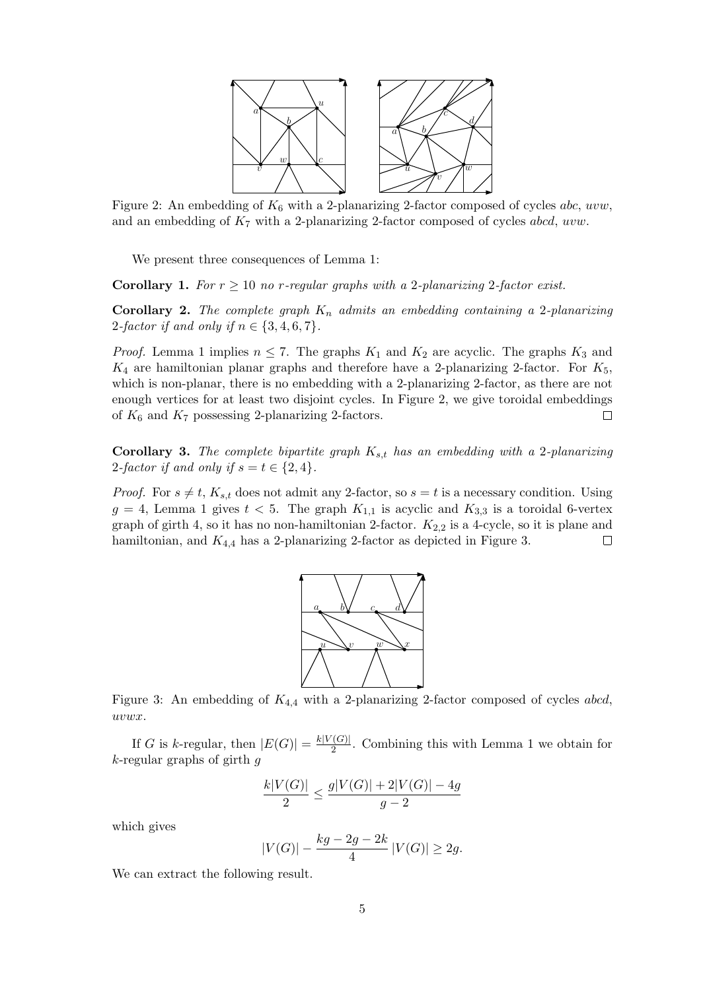

Figure 2: An embedding of  $K_6$  with a 2-planarizing 2-factor composed of cycles abc, uvw, and an embedding of  $K_7$  with a 2-planarizing 2-factor composed of cycles abcd, uvw.

We present three consequences of Lemma 1:

**Corollary 1.** For  $r \geq 10$  no r-regular graphs with a 2-planarizing 2-factor exist.

**Corollary 2.** The complete graph  $K_n$  admits an embedding containing a 2-planarizing 2-factor if and only if  $n \in \{3, 4, 6, 7\}$ .

*Proof.* Lemma 1 implies  $n \leq 7$ . The graphs  $K_1$  and  $K_2$  are acyclic. The graphs  $K_3$  and  $K_4$  are hamiltonian planar graphs and therefore have a 2-planarizing 2-factor. For  $K_5$ , which is non-planar, there is no embedding with a 2-planarizing 2-factor, as there are not enough vertices for at least two disjoint cycles. In Figure 2, we give toroidal embeddings of  $K_6$  and  $K_7$  possessing 2-planarizing 2-factors.  $\Box$ 

**Corollary 3.** The complete bipartite graph  $K_{s,t}$  has an embedding with a 2-planarizing 2-factor if and only if  $s = t \in \{2, 4\}.$ 

*Proof.* For  $s \neq t$ ,  $K_{s,t}$  does not admit any 2-factor, so  $s = t$  is a necessary condition. Using  $g = 4$ , Lemma 1 gives  $t < 5$ . The graph  $K_{1,1}$  is acyclic and  $K_{3,3}$  is a toroidal 6-vertex graph of girth 4, so it has no non-hamiltonian 2-factor.  $K_{2,2}$  is a 4-cycle, so it is plane and hamiltonian, and  $K_{4,4}$  has a 2-planarizing 2-factor as depicted in Figure 3.  $\Box$ 



Figure 3: An embedding of  $K_{4,4}$  with a 2-planarizing 2-factor composed of cycles abcd, uvwx.

If G is k-regular, then  $|E(G)| = \frac{k|V(G)|}{2}$  $\frac{(G)}{2}$ . Combining this with Lemma 1 we obtain for  $k$ -regular graphs of girth  $q$ 

$$
\frac{k|V(G)|}{2} \le \frac{g|V(G)| + 2|V(G)| - 4g}{g-2}
$$

which gives

$$
|V(G)| - \frac{kg - 2g - 2k}{4} |V(G)| \ge 2g.
$$

We can extract the following result.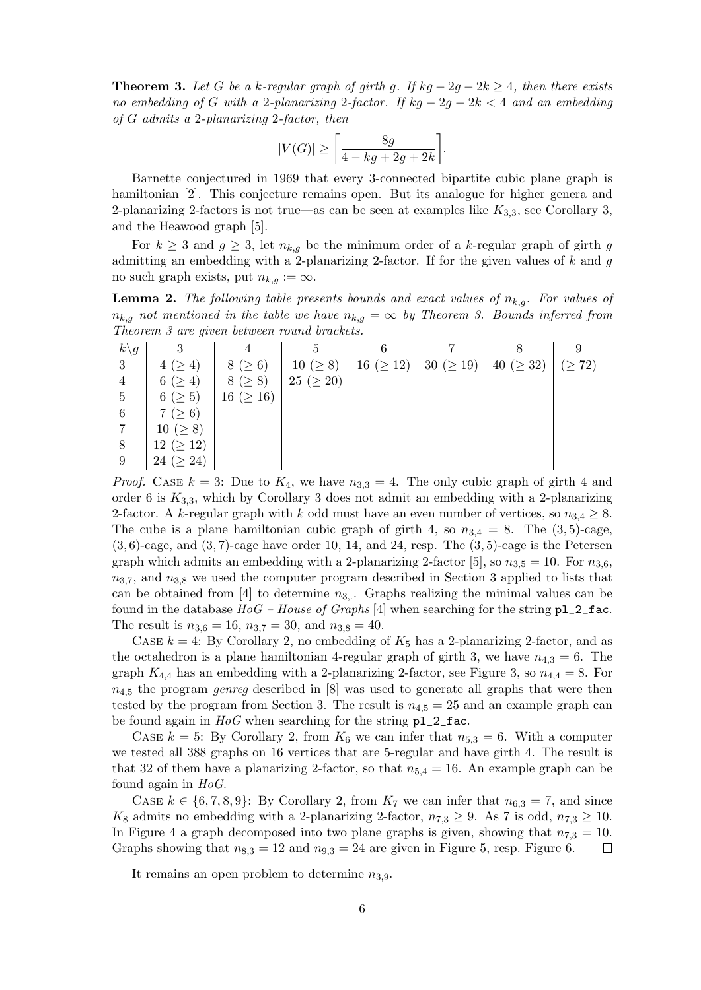**Theorem 3.** Let G be a k-regular graph of girth g. If kg  $-2q-2k \geq 4$ , then there exists no embedding of G with a 2-planarizing 2-factor. If  $kg - 2g - 2k < 4$  and an embedding of G admits a 2-planarizing 2-factor, then

$$
|V(G)| \ge \left\lceil \frac{8g}{4 - kg + 2g + 2k} \right\rceil.
$$

Barnette conjectured in 1969 that every 3-connected bipartite cubic plane graph is hamiltonian [2]. This conjecture remains open. But its analogue for higher genera and 2-planarizing 2-factors is not true—as can be seen at examples like  $K_{3,3}$ , see Corollary 3, and the Heawood graph [5].

For  $k \geq 3$  and  $g \geq 3$ , let  $n_{k,q}$  be the minimum order of a k-regular graph of girth g admitting an embedding with a 2-planarizing 2-factor. If for the given values of  $k$  and  $g$ no such graph exists, put  $n_{k,q} := \infty$ .

**Lemma 2.** The following table presents bounds and exact values of  $n_{k,g}$ . For values of  $n_{k,g}$  not mentioned in the table we have  $n_{k,g} = \infty$  by Theorem 3. Bounds inferred from Theorem 3 are given between round brackets.

| $k\backslash g$ | 2                    |                  |                  |           |                 |                 |           |
|-----------------|----------------------|------------------|------------------|-----------|-----------------|-----------------|-----------|
| 3               | $\overline{4}$<br>4( | $8 ( \ge 6)$     | $10 \; (\geq 8)$ | 16 (> 12) | 30 ( $\geq$ 19) | 40 ( $\geq$ 32) | $\geq 72$ |
| 4               | 6 ( $\geq 4$ )       | 8 (> 8)          | 25 (> 20)        |           |                 |                 |           |
| 5               | 6 ( $\geq 5$ )       | 16 ( $\geq 16$ ) |                  |           |                 |                 |           |
| 6               | 7 ( $\geq 6$ )       |                  |                  |           |                 |                 |           |
|                 | $10 \; (\geq 8)$     |                  |                  |           |                 |                 |           |
| 8               | $12 \ (\geq 12)$     |                  |                  |           |                 |                 |           |
| 9               | 24 ( $\geq$ 24)      |                  |                  |           |                 |                 |           |

*Proof.* CASE  $k = 3$ : Due to  $K_4$ , we have  $n_{3,3} = 4$ . The only cubic graph of girth 4 and order 6 is  $K_{3,3}$ , which by Corollary 3 does not admit an embedding with a 2-planarizing 2-factor. A k-regular graph with k odd must have an even number of vertices, so  $n_{3,4} \geq 8$ . The cube is a plane hamiltonian cubic graph of girth 4, so  $n_{3,4} = 8$ . The  $(3,5)$ -cage,  $(3, 6)$ -cage, and  $(3, 7)$ -cage have order 10, 14, and 24, resp. The  $(3, 5)$ -cage is the Petersen graph which admits an embedding with a 2-planarizing 2-factor [5], so  $n_{3.5} = 10$ . For  $n_{3.6}$ ,  $n_{3,7}$ , and  $n_{3,8}$  we used the computer program described in Section 3 applied to lists that can be obtained from [4] to determine  $n_{3}$ . Graphs realizing the minimal values can be found in the database  $HoG - House of Graphs [4]$  when searching for the string  $p1_2_1$ fac. The result is  $n_{3,6} = 16$ ,  $n_{3,7} = 30$ , and  $n_{3,8} = 40$ .

CASE  $k = 4$ : By Corollary 2, no embedding of  $K_5$  has a 2-planarizing 2-factor, and as the octahedron is a plane hamiltonian 4-regular graph of girth 3, we have  $n_{4,3} = 6$ . The graph  $K_{4,4}$  has an embedding with a 2-planarizing 2-factor, see Figure 3, so  $n_{4,4} = 8$ . For  $n_{4.5}$  the program *genreg* described in [8] was used to generate all graphs that were then tested by the program from Section 3. The result is  $n_{4.5} = 25$  and an example graph can be found again in  $HoG$  when searching for the string  $p1_2_1$ fac.

CASE  $k = 5$ : By Corollary 2, from  $K_6$  we can infer that  $n_{5,3} = 6$ . With a computer we tested all 388 graphs on 16 vertices that are 5-regular and have girth 4. The result is that 32 of them have a planarizing 2-factor, so that  $n_{5,4} = 16$ . An example graph can be found again in  $HoG$ .

CASE  $k \in \{6, 7, 8, 9\}$ : By Corollary 2, from  $K_7$  we can infer that  $n_{6,3} = 7$ , and since K<sub>8</sub> admits no embedding with a 2-planarizing 2-factor,  $n_{7,3} \geq 9$ . As 7 is odd,  $n_{7,3} \geq 10$ . In Figure 4 a graph decomposed into two plane graphs is given, showing that  $n_{7,3} = 10$ . Graphs showing that  $n_{8,3} = 12$  and  $n_{9,3} = 24$  are given in Figure 5, resp. Figure 6.  $\Box$ 

It remains an open problem to determine  $n_{3,9}$ .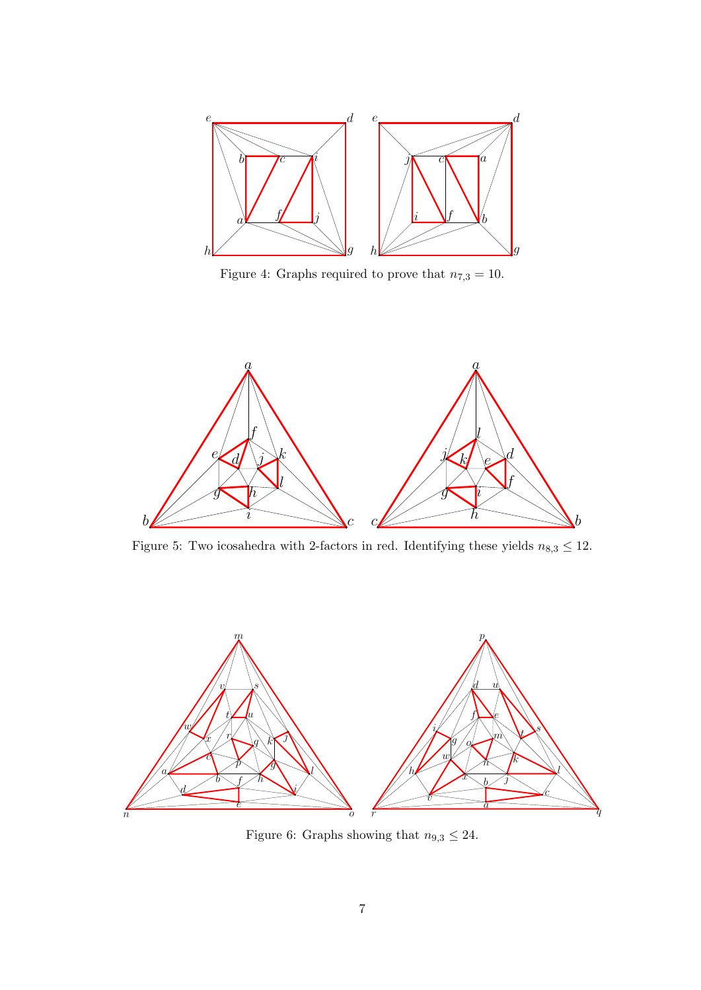

Figure 4: Graphs required to prove that  $n_{7,3} = 10$ .



Figure 5: Two icosahedra with 2-factors in red. Identifying these yields  $n_{8,3} \leq 12$ .



Figure 6: Graphs showing that  $n_{9,3} \leq 24.$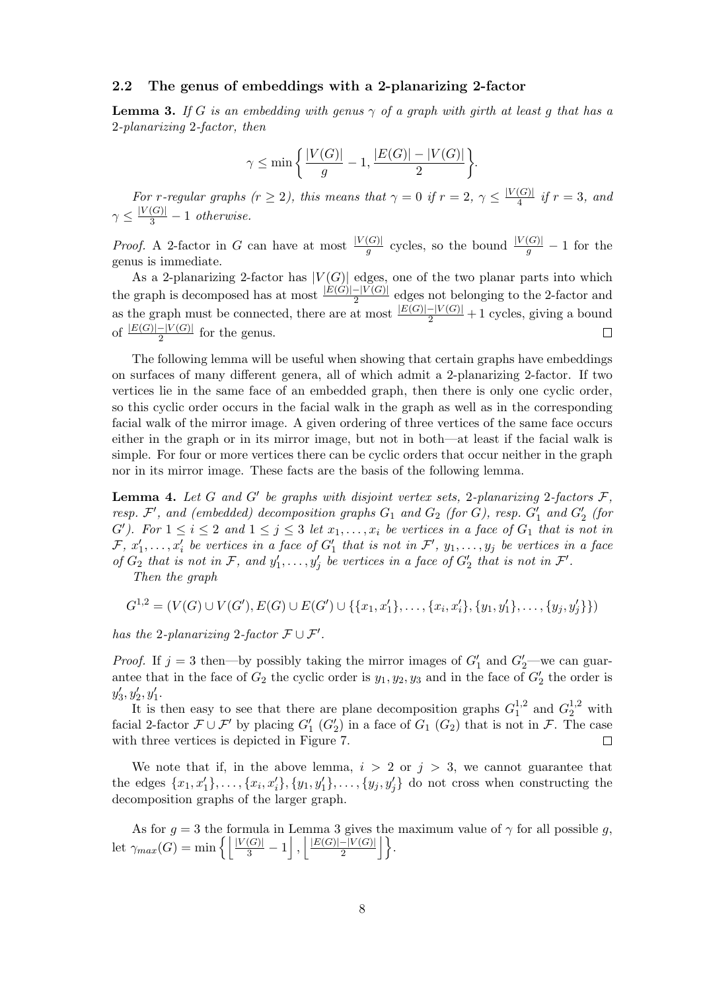#### 2.2 The genus of embeddings with a 2-planarizing 2-factor

**Lemma 3.** If G is an embedding with genus  $\gamma$  of a graph with girth at least g that has a 2-planarizing 2-factor, then

$$
\gamma \leq \min \bigg\{\frac{|V(G)|}{g}-1, \frac{|E(G)|-|V(G)|}{2}\bigg\}.
$$

For r-regular graphs  $(r \geq 2)$ , this means that  $\gamma = 0$  if  $r = 2$ ,  $\gamma \leq \frac{|V(G)|}{4}$  $\frac{(G)}{4}$  if  $r = 3$ , and  $\gamma \leq \frac{|V(G)|}{3} - 1$  otherwise.

*Proof.* A 2-factor in G can have at most  $\frac{|V(G)|}{g}$  cycles, so the bound  $\frac{|V(G)|}{g} - 1$  for the genus is immediate.

As a 2-planarizing 2-factor has  $|V(G)|$  edges, one of the two planar parts into which the graph is decomposed has at most  $\frac{|E(G)|-|V(G)|}{2}$  edges not belonging to the 2-factor and as the graph must be connected, there are at most  $\frac{|E(G)|-|V(G)|}{2}+1$  cycles, giving a bound of  $\frac{|E(G)|-|V(G)|}{2}$  for the genus.

The following lemma will be useful when showing that certain graphs have embeddings on surfaces of many different genera, all of which admit a 2-planarizing 2-factor. If two vertices lie in the same face of an embedded graph, then there is only one cyclic order, so this cyclic order occurs in the facial walk in the graph as well as in the corresponding facial walk of the mirror image. A given ordering of three vertices of the same face occurs either in the graph or in its mirror image, but not in both—at least if the facial walk is simple. For four or more vertices there can be cyclic orders that occur neither in the graph nor in its mirror image. These facts are the basis of the following lemma.

**Lemma 4.** Let G and G' be graphs with disjoint vertex sets, 2-planarizing 2-factors  $\mathcal{F}$ , resp.  $\mathcal{F}',$  and (embedded) decomposition graphs  $G_1$  and  $G_2$  (for  $G$ ), resp.  $G'_1$  and  $G'_2$  (for G'). For  $1 \leq i \leq 2$  and  $1 \leq j \leq 3$  let  $x_1, \ldots, x_i$  be vertices in a face of  $G_1$  that is not in  $\mathcal{F}, x'_1, \ldots, x'_i$  be vertices in a face of  $G'_1$  that is not in  $\mathcal{F}', y_1, \ldots, y_j$  be vertices in a face of  $G_2$  that is not in F, and  $y'_1, \ldots, y'_j$  be vertices in a face of  $G'_2$  that is not in F'.

Then the graph

$$
G^{1,2} = (V(G) \cup V(G'), E(G) \cup E(G') \cup \{\{x_1, x_1'\}, \ldots, \{x_i, x_i'\}, \{y_1, y_1'\}, \ldots, \{y_j, y_j'\}\})
$$

has the 2-planarizing 2-factor  $\mathcal{F} \cup \mathcal{F}'$ .

*Proof.* If  $j = 3$  then—by possibly taking the mirror images of  $G'_1$  and  $G'_2$ —we can guarantee that in the face of  $G_2$  the cyclic order is  $y_1, y_2, y_3$  and in the face of  $G_2'$  the order is  $y'_3, y'_2, y'_1.$ 

It is then easy to see that there are plane decomposition graphs  $G_1^{1,2}$  $1^{1,2}$  and  $G_2^{1,2}$  with facial 2-factor  $\mathcal{F} \cup \mathcal{F}'$  by placing  $G'_1$   $(G'_2)$  in a face of  $G_1$   $(G_2)$  that is not in  $\mathcal{F}$ . The case with three vertices is depicted in Figure 7.  $\Box$ 

We note that if, in the above lemma,  $i > 2$  or  $j > 3$ , we cannot guarantee that the edges  $\{x_1, x'_1\}, \ldots, \{x_i, x'_i\}, \{y_1, y'_1\}, \ldots, \{y_j, y'_j\}$  do not cross when constructing the decomposition graphs of the larger graph.

As for  $g = 3$  the formula in Lemma 3 gives the maximum value of  $\gamma$  for all possible g, let  $\gamma_{max}(G) = \min \left\{ \left| \frac{|V(G)|}{3} - 1 \right|, \left| \frac{|E(G)| - |V(G)|}{2} \right| \right\}$  $\frac{-|V(G)|}{2}\bigg\rfloor\bigg\}.$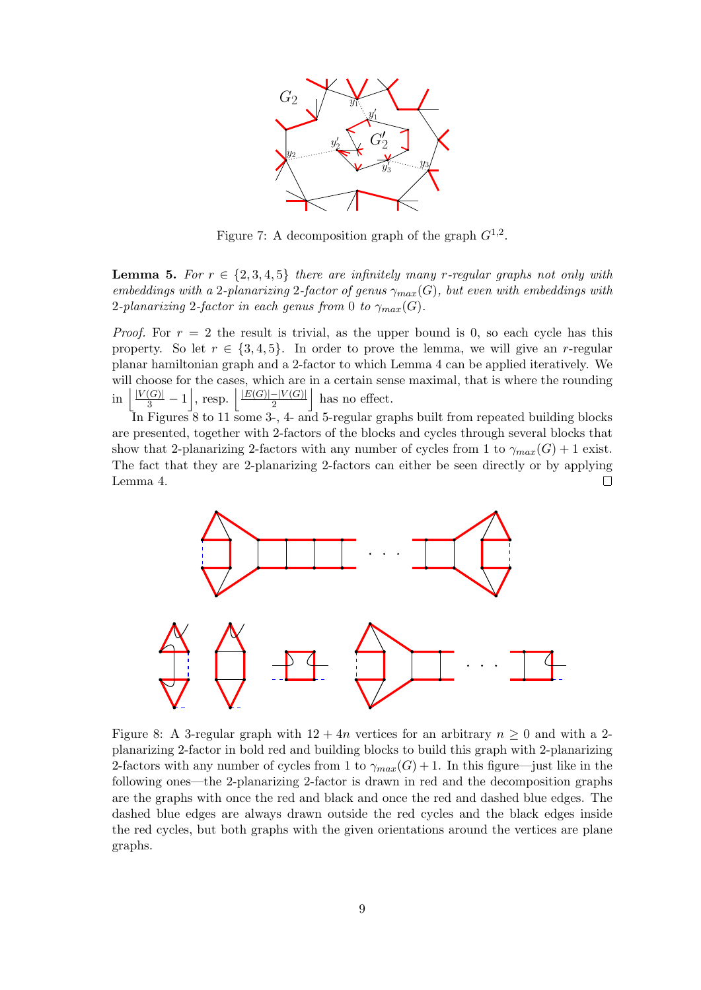

Figure 7: A decomposition graph of the graph  $G^{1,2}$ .

**Lemma 5.** For  $r \in \{2, 3, 4, 5\}$  there are infinitely many r-regular graphs not only with embeddings with a 2-planarizing 2-factor of genus  $\gamma_{max}(G)$ , but even with embeddings with 2-planarizing 2-factor in each genus from 0 to  $\gamma_{max}(G)$ .

*Proof.* For  $r = 2$  the result is trivial, as the upper bound is 0, so each cycle has this property. So let  $r \in \{3, 4, 5\}$ . In order to prove the lemma, we will give an r-regular planar hamiltonian graph and a 2-factor to which Lemma 4 can be applied iteratively. We will choose for the cases, which are in a certain sense maximal, that is where the rounding  $\text{in } \left| \frac{|V(G)|}{3} - 1 \right|, \text{ resp. } \left| \frac{|E(G)| - |V(G)|}{2} \right|$  $\frac{-|V(G)|}{2}$  has no effect.

In Figures 8 to 11 some 3-, 4- and 5-regular graphs built from repeated building blocks are presented, together with 2-factors of the blocks and cycles through several blocks that show that 2-planarizing 2-factors with any number of cycles from 1 to  $\gamma_{max}(G) + 1$  exist. The fact that they are 2-planarizing 2-factors can either be seen directly or by applying Lemma 4.  $\Box$ 



Figure 8: A 3-regular graph with  $12 + 4n$  vertices for an arbitrary  $n \geq 0$  and with a 2planarizing 2-factor in bold red and building blocks to build this graph with 2-planarizing 2-factors with any number of cycles from 1 to  $\gamma_{max}(G) + 1$ . In this figure—just like in the following ones—the 2-planarizing 2-factor is drawn in red and the decomposition graphs are the graphs with once the red and black and once the red and dashed blue edges. The dashed blue edges are always drawn outside the red cycles and the black edges inside the red cycles, but both graphs with the given orientations around the vertices are plane graphs.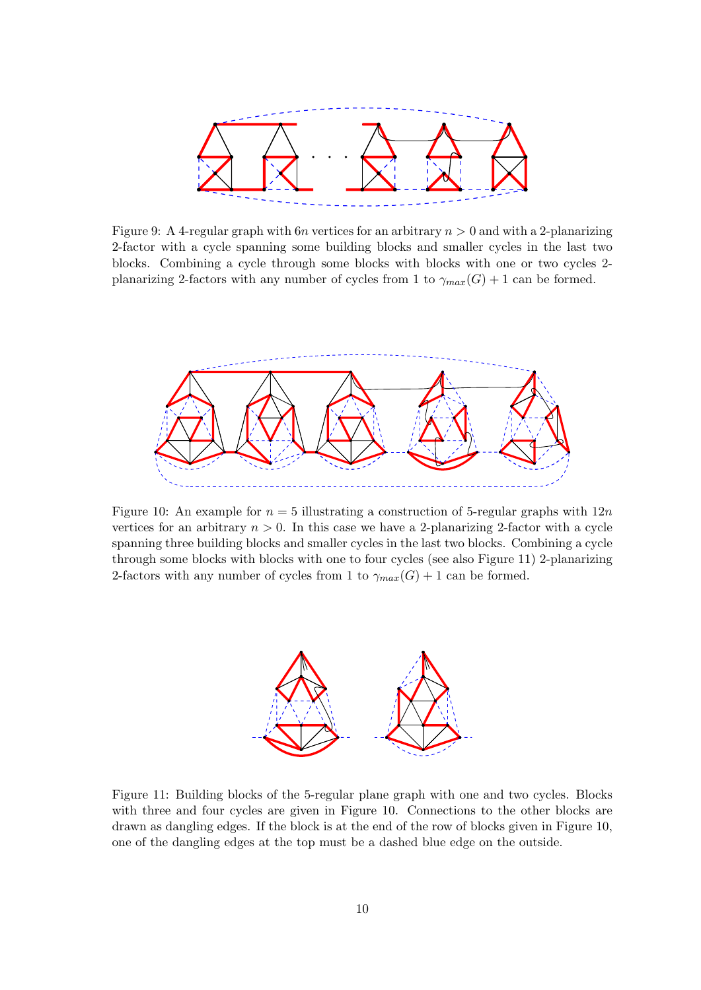

Figure 9: A 4-regular graph with  $6n$  vertices for an arbitrary  $n > 0$  and with a 2-planarizing 2-factor with a cycle spanning some building blocks and smaller cycles in the last two blocks. Combining a cycle through some blocks with blocks with one or two cycles 2 planarizing 2-factors with any number of cycles from 1 to  $\gamma_{max}(G) + 1$  can be formed.



Figure 10: An example for  $n = 5$  illustrating a construction of 5-regular graphs with  $12n$ vertices for an arbitrary  $n > 0$ . In this case we have a 2-planarizing 2-factor with a cycle spanning three building blocks and smaller cycles in the last two blocks. Combining a cycle through some blocks with blocks with one to four cycles (see also Figure 11) 2-planarizing 2-factors with any number of cycles from 1 to  $\gamma_{max}(G) + 1$  can be formed.



Figure 11: Building blocks of the 5-regular plane graph with one and two cycles. Blocks with three and four cycles are given in Figure 10. Connections to the other blocks are drawn as dangling edges. If the block is at the end of the row of blocks given in Figure 10, one of the dangling edges at the top must be a dashed blue edge on the outside.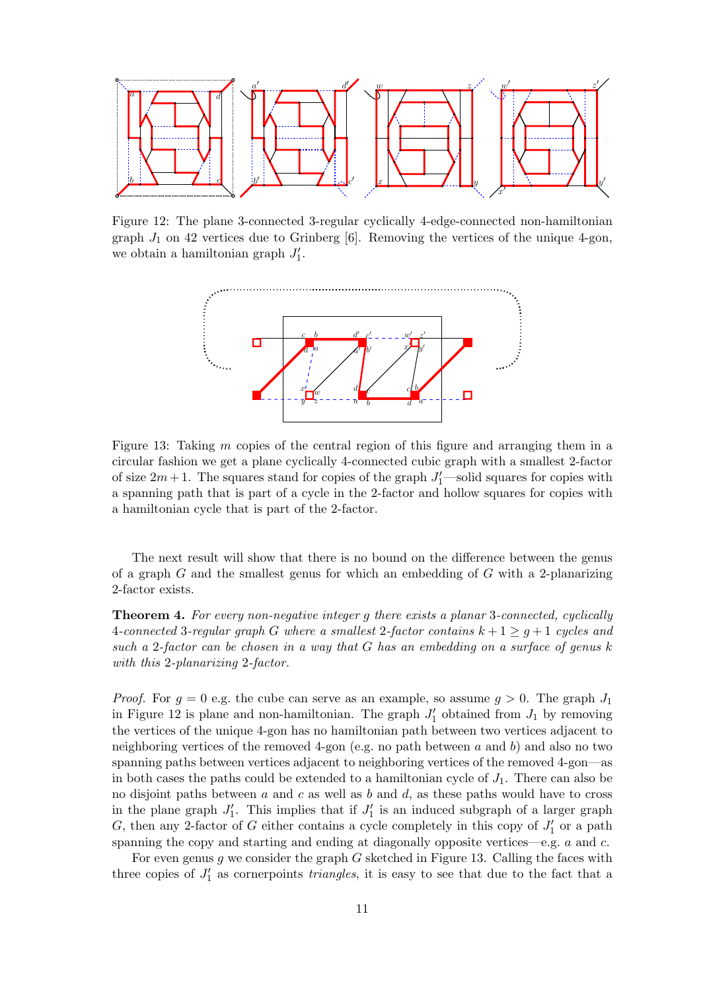

Figure 12: The plane 3-connected 3-regular cyclically 4-edge-connected non-hamiltonian graph  $J_1$  on 42 vertices due to Grinberg [6]. Removing the vertices of the unique 4-gon, we obtain a hamiltonian graph  $J'_1$ .



Figure 13: Taking  $m$  copies of the central region of this figure and arranging them in a circular fashion we get a plane cyclically 4-connected cubic graph with a smallest 2-factor of size  $2m+1$ . The squares stand for copies of the graph  $J'_1$ —solid squares for copies with a spanning path that is part of a cycle in the 2-factor and hollow squares for copies with a hamiltonian cycle that is part of the 2-factor.

The next result will show that there is no bound on the difference between the genus of a graph G and the smallest genus for which an embedding of G with a 2-planarizing 2-factor exists.

Theorem 4. For every non-negative integer g there exists a planar 3-connected, cyclically 4-connected 3-regular graph G where a smallest 2-factor contains  $k + 1 \geq g + 1$  cycles and such a 2-factor can be chosen in a way that G has an embedding on a surface of genus k with this 2-planarizing 2-factor.

*Proof.* For  $g = 0$  e.g. the cube can serve as an example, so assume  $g > 0$ . The graph  $J_1$ in Figure 12 is plane and non-hamiltonian. The graph  $J'_1$  obtained from  $J_1$  by removing the vertices of the unique 4-gon has no hamiltonian path between two vertices adjacent to neighboring vertices of the removed 4-gon (e.g. no path between  $a$  and  $b$ ) and also no two spanning paths between vertices adjacent to neighboring vertices of the removed 4-gon—as in both cases the paths could be extended to a hamiltonian cycle of  $J_1$ . There can also be no disjoint paths between a and c as well as b and d, as these paths would have to cross in the plane graph  $J'_1$ . This implies that if  $J'_1$  is an induced subgraph of a larger graph G, then any 2-factor of G either contains a cycle completely in this copy of  $J'_1$  or a path spanning the copy and starting and ending at diagonally opposite vertices—e.g.  $a$  and  $c$ .

For even genus  $g$  we consider the graph  $G$  sketched in Figure 13. Calling the faces with three copies of  $J'_1$  as cornerpoints *triangles*, it is easy to see that due to the fact that a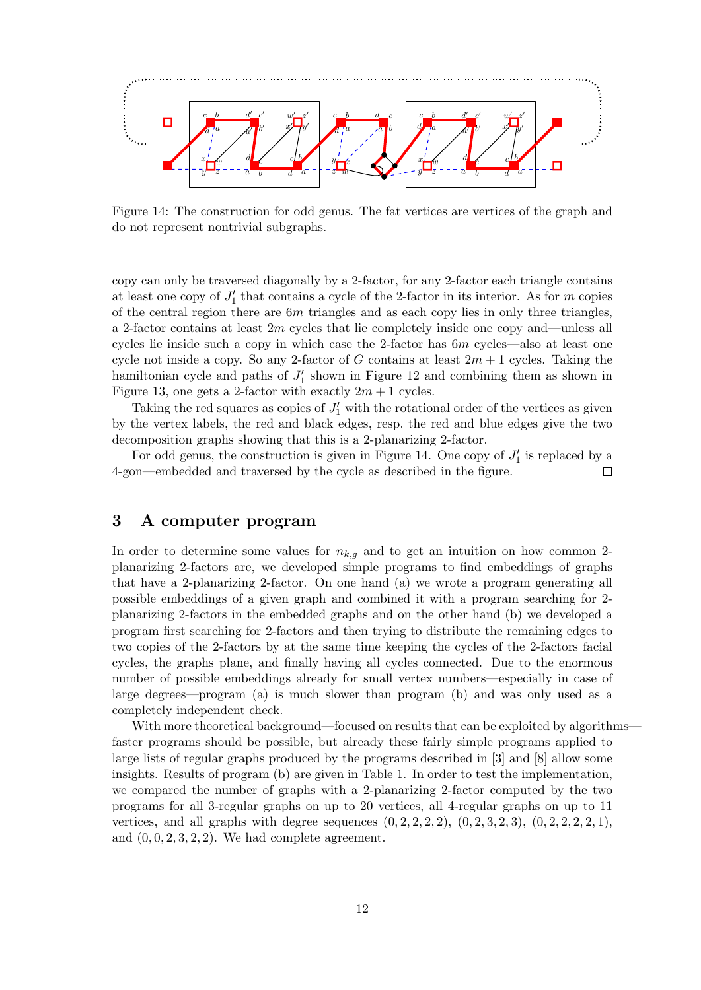

Figure 14: The construction for odd genus. The fat vertices are vertices of the graph and do not represent nontrivial subgraphs.

copy can only be traversed diagonally by a 2-factor, for any 2-factor each triangle contains at least one copy of  $J'_1$  that contains a cycle of the 2-factor in its interior. As for m copies of the central region there are  $6m$  triangles and as each copy lies in only three triangles, a 2-factor contains at least  $2m$  cycles that lie completely inside one copy and—unless all cycles lie inside such a copy in which case the 2-factor has 6m cycles—also at least one cycle not inside a copy. So any 2-factor of G contains at least  $2m + 1$  cycles. Taking the hamiltonian cycle and paths of  $J'_1$  shown in Figure 12 and combining them as shown in Figure 13, one gets a 2-factor with exactly  $2m + 1$  cycles.

Taking the red squares as copies of  $J'_1$  with the rotational order of the vertices as given by the vertex labels, the red and black edges, resp. the red and blue edges give the two decomposition graphs showing that this is a 2-planarizing 2-factor.

For odd genus, the construction is given in Figure 14. One copy of  $J'_1$  is replaced by a 4-gon—embedded and traversed by the cycle as described in the figure.  $\Box$ 

## 3 A computer program

In order to determine some values for  $n_{k,g}$  and to get an intuition on how common 2planarizing 2-factors are, we developed simple programs to find embeddings of graphs that have a 2-planarizing 2-factor. On one hand (a) we wrote a program generating all possible embeddings of a given graph and combined it with a program searching for 2 planarizing 2-factors in the embedded graphs and on the other hand (b) we developed a program first searching for 2-factors and then trying to distribute the remaining edges to two copies of the 2-factors by at the same time keeping the cycles of the 2-factors facial cycles, the graphs plane, and finally having all cycles connected. Due to the enormous number of possible embeddings already for small vertex numbers—especially in case of large degrees—program (a) is much slower than program (b) and was only used as a completely independent check.

With more theoretical background—focused on results that can be exploited by algorithmsfaster programs should be possible, but already these fairly simple programs applied to large lists of regular graphs produced by the programs described in [3] and [8] allow some insights. Results of program (b) are given in Table 1. In order to test the implementation, we compared the number of graphs with a 2-planarizing 2-factor computed by the two programs for all 3-regular graphs on up to 20 vertices, all 4-regular graphs on up to 11 vertices, and all graphs with degree sequences  $(0, 2, 2, 2, 2, 2), (0, 2, 3, 2, 3), (0, 2, 2, 2, 2, 1),$ and  $(0, 0, 2, 3, 2, 2)$ . We had complete agreement.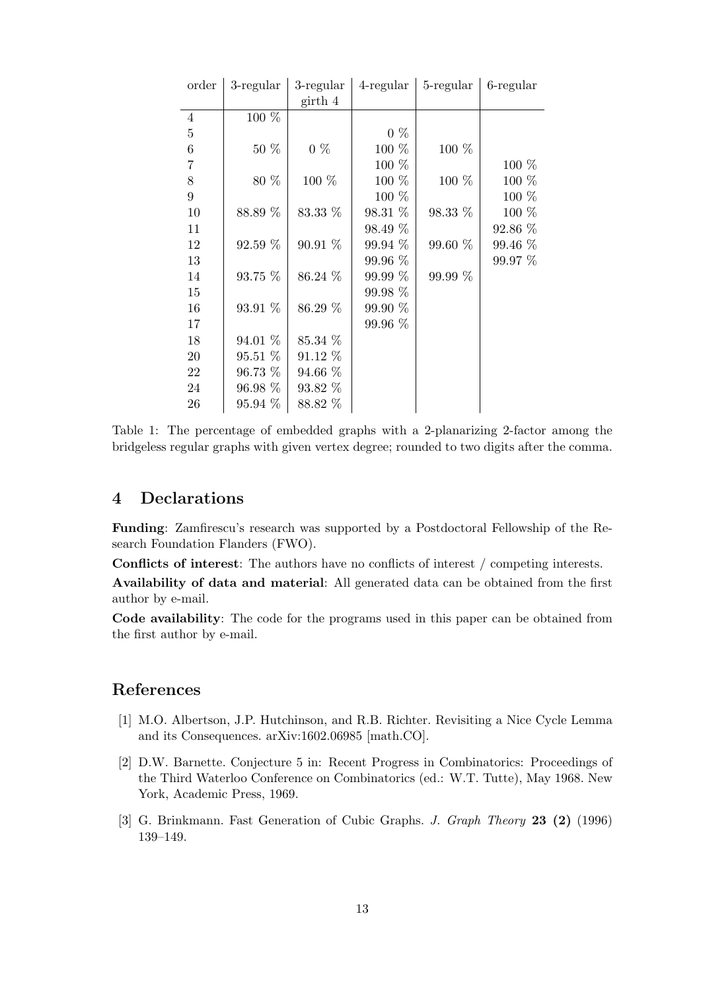| order          | $3$ -regular | $3$ -regular | $4$ -regular | 5-regular | 6-regular |
|----------------|--------------|--------------|--------------|-----------|-----------|
|                |              | girth 4      |              |           |           |
| $\overline{4}$ | 100 %        |              |              |           |           |
| $\bf 5$        |              |              | $0\%$        |           |           |
| $\,6$          | 50 %         | $0\%$        | 100 %        | $100\%$   |           |
| $\sqrt{ }$     |              |              | $100\%$      |           | 100 %     |
| 8              | 80 %         | $100\%$      | $100\%$      | 100 %     | 100 %     |
| $\overline{9}$ |              |              | $100\%$      |           | $100\%$   |
| 10             | 88.89 %      | 83.33 %      | 98.31 %      | 98.33 %   | 100 %     |
| 11             |              |              | 98.49 %      |           | 92.86 %   |
| 12             | 92.59 %      | 90.91 %      | 99.94 %      | 99.60 %   | 99.46 %   |
| 13             |              |              | 99.96 %      |           | 99.97 %   |
| 14             | 93.75 %      | 86.24 %      | 99.99 %      | 99.99 %   |           |
| 15             |              |              | 99.98 %      |           |           |
| 16             | 93.91 %      | 86.29 %      | 99.90 %      |           |           |
| 17             |              |              | 99.96 %      |           |           |
| 18             | 94.01 %      | 85.34 %      |              |           |           |
| $20\,$         | 95.51 %      | 91.12 %      |              |           |           |
| 22             | 96.73 %      | 94.66 %      |              |           |           |
| 24             | $96.98\%$    | 93.82 %      |              |           |           |
| 26             | $95.94\%$    | 88.82 %      |              |           |           |

Table 1: The percentage of embedded graphs with a 2-planarizing 2-factor among the bridgeless regular graphs with given vertex degree; rounded to two digits after the comma.

## 4 Declarations

Funding: Zamfirescu's research was supported by a Postdoctoral Fellowship of the Research Foundation Flanders (FWO).

Conflicts of interest: The authors have no conflicts of interest / competing interests.

Availability of data and material: All generated data can be obtained from the first author by e-mail.

Code availability: The code for the programs used in this paper can be obtained from the first author by e-mail.

### References

- [1] M.O. Albertson, J.P. Hutchinson, and R.B. Richter. Revisiting a Nice Cycle Lemma and its Consequences. arXiv:1602.06985 [math.CO].
- [2] D.W. Barnette. Conjecture 5 in: Recent Progress in Combinatorics: Proceedings of the Third Waterloo Conference on Combinatorics (ed.: W.T. Tutte), May 1968. New York, Academic Press, 1969.
- [3] G. Brinkmann. Fast Generation of Cubic Graphs. J. Graph Theory 23 (2) (1996) 139–149.